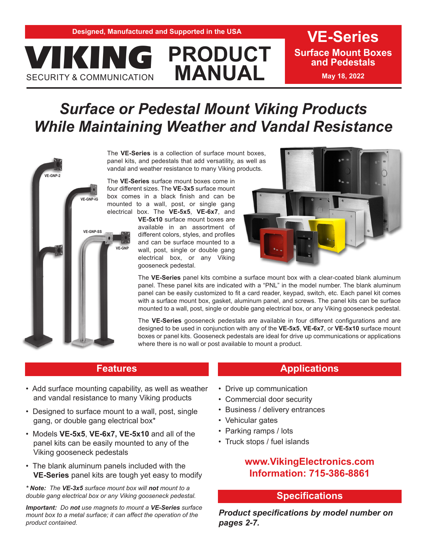# **PRODUCT MANUAL ANG PRODUCT** Surface Mount Both Contribution MANUAL May 18, 2022

**Surface Mount Boxes** 

# *Surface or Pedestal Mount Viking Products While Maintaining Weather and Vandal Resistance*



**SECURITY & COMMUNICATION** 

The **VE-Series** is a collection of surface mount boxes, panel kits, and pedestals that add versatility, as well as vandal and weather resistance to many Viking products.

The **VE-Series** surface mount boxes come in four different sizes. The **VE-3x5** surface mount box comes in a black finish and can be mounted to a wall, post, or single gang electrical box. The **VE-5x5**, **VE-6x7**, and **VE-5x10** surface mount boxes are available in an assortment of different colors, styles, and profiles and can be surface mounted to a wall, post, single or double gang electrical box, or any Viking gooseneck pedestal.



The **VE-Series** panel kits combine a surface mount box with a clear-coated blank aluminum panel. These panel kits are indicated with a "PNL" in the model number. The blank aluminum panel can be easily customized to fit a card reader, keypad, switch, etc. Each panel kit comes with a surface mount box, gasket, aluminum panel, and screws. The panel kits can be surface mounted to a wall, post, single or double gang electrical box, or any Viking gooseneck pedestal.

The **VE-Series** gooseneck pedestals are available in four different configurations and are designed to be used in conjunction with any of the **VE-5x5**, **VE -6x7**, or **VE-5x10** surface mount boxes or panel kits. Gooseneck pedestals are ideal for drive up communications or applications where there is no wall or post available to mount a product.

#### **Features**

- Add surface mounting capability, as well as weather and vandal resistance to many Viking products
- Designed to surface mount to a wall, post, single gang, or double gang electrical box\*
- Models **VE-5x5**, **VE-6x7, VE-5x10** and all of the panel kits can be easily mounted to any of the Viking gooseneck pedestals
- The blank aluminum panels included with the **VE-Series** panel kits are tough yet easy to modify

*\* Note: The VE-3x5 surface mount box will not mount to a double gang electrical box or any Viking gooseneck pedestal.* 

*Important: Do not use magnets to mount a VE-Series surface mount box to a metal surface; it can affect the operation of the product contained.*

## **Applications**

- Drive up communication
- Commercial door security
- Business / delivery entrances
- Vehicular gates
- Parking ramps / lots
- Truck stops / fuel islands

## **www.VikingElectronics.com Information: 715-386-8861**

#### **Specifications**

*Product specifications by model number on pages 2-7.*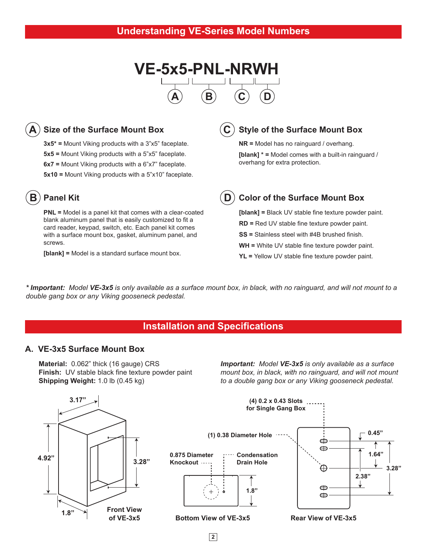



**3x5\* =** Mount Viking products with a 3"x5" faceplate. **5x5 =** Mount Viking products with a 5"x5" faceplate. **6x7 =** Mount Viking products with a 6"x7" faceplate. **5x10 =** Mount Viking products with a 5"x10" faceplate.

#### **Panel Kit B**

**PNL =** Model is a panel kit that comes with a clear-coated blank aluminum panel that is easily customized to fit a card reader, keypad, switch, etc. Each panel kit comes with a surface mount box, gasket, aluminum panel, and screws.

**[blank] =** Model is a standard surface mount box.

**Style of the Surface Mount Box C**

> **NR =** Model has no rainguard / overhang. **[blank] \* =** Model comes with a built-in rainguard / overhang for extra protection.

**D**

#### **Color of the Surface Mount Box**

**[blank] =** Black UV stable fine texture powder paint. **RD =** Red UV stable fine texture powder paint. **SS =** Stainless steel with #4B brushed finish. **WH =** White UV stable fine texture powder paint. **YL =** Yellow UV stable fine texture powder paint.

*\* Important: Model VE-3x5 is only available as a surface mount box, in black, with no rainguard, and will not mount to a double gang box or any Viking gooseneck pedestal.*

#### **Installation and Specifications**

#### **A. VE-3x5 Surface Mount Box**

**Material:** 0.062" thick (16 gauge) CRS **Finish:** UV stable black fine texture powder paint **Shipping Weight:** 1.0 lb (0.45 kg)

*Important: Model VE-3x5 is only available as a surface mount box, in black, with no rainguard, and will not mount to a double gang box or any Viking gooseneck pedestal.*

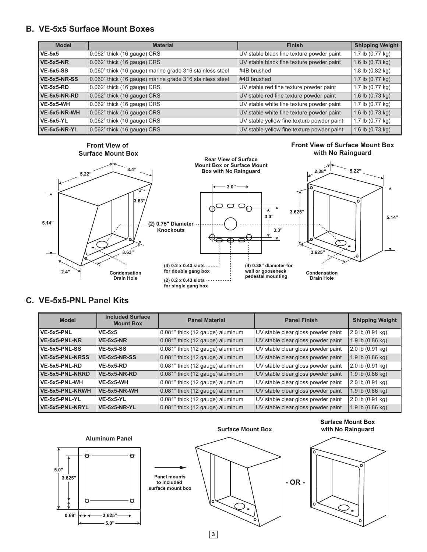#### **B. VE-5x5 Surface Mount Boxes**

| <b>Model</b>     | <b>Material</b>                                          | <b>Finish</b>                              | <b>Shipping Weight</b>     |
|------------------|----------------------------------------------------------|--------------------------------------------|----------------------------|
| $VE-5x5$         | $0.062$ " thick (16 gauge) CRS                           | UV stable black fine texture powder paint  | 1.7 lb (0.77 kg)           |
| $VE-5x5-NR$      | 0.062" thick (16 gauge) CRS                              | UV stable black fine texture powder paint  | 1.6 lb $(0.73 \text{ kg})$ |
| <b>VE-5x5-SS</b> | 0.060" thick (16 gauge) marine grade 316 stainless steel | #4B brushed                                | 1.8 lb (0.82 kg)           |
| VE-5x5-NR-SS     | 0.060" thick (16 gauge) marine grade 316 stainless steel | #4B brushed                                | 1.7 lb $(0.77 \text{ kg})$ |
| $VE-5x5-RD$      | 0.062" thick (16 gauge) CRS                              | UV stable red fine texture powder paint    | 1.7 lb (0.77 kg)           |
| VE-5x5-NR-RD     | 0.062" thick (16 gauge) CRS                              | UV stable red fine texture powder paint    | 1.6 lb $(0.73 \text{ kg})$ |
| VE-5x5-WH        | 0.062" thick (16 gauge) CRS                              | UV stable white fine texture powder paint  | 1.7 lb (0.77 kg)           |
| VE-5x5-NR-WH     | $0.062$ " thick (16 gauge) CRS                           | UV stable white fine texture powder paint  | 1.6 lb $(0.73 \text{ kg})$ |
| VE-5x5-YL        | 0.062" thick (16 gauge) CRS                              | UV stable yellow fine texture powder paint | 1.7 lb (0.77 kg)           |
| VE-5x5-NR-YL     | 0.062" thick (16 gauge) CRS                              | UV stable yellow fine texture powder paint | 1.6 lb (0.73 kg)           |





**Rear View of Surface Mount Box or Surface Mount Box with No Rainguard**



#### **C. VE-5x5-PNL Panel Kits**

| <b>Model</b>           | <b>Included Surface</b><br><b>Mount Box</b> | <b>Panel Material</b>            | <b>Panel Finish</b>                | <b>Shipping Weight</b>     |
|------------------------|---------------------------------------------|----------------------------------|------------------------------------|----------------------------|
| VE-5x5-PNL             | $VE-5x5$                                    | 0.081" thick (12 gauge) aluminum | UV stable clear gloss powder paint | 2.0 lb (0.91 kg)           |
| VE-5x5-PNL-NR          | $VE-5x5-NR$                                 | 0.081" thick (12 gauge) aluminum | UV stable clear gloss powder paint | 1.9 lb $(0.86 \text{ kg})$ |
| VE-5x5-PNL-SS          | <b>VE-5x5-SS</b>                            | 0.081" thick (12 gauge) aluminum | UV stable clear gloss powder paint | 2.0 lb (0.91 kg)           |
| <b>VE-5x5-PNL-NRSS</b> | VE-5x5-NR-SS                                | 0.081" thick (12 gauge) aluminum | UV stable clear gloss powder paint | 1.9 lb $(0.86 \text{ kg})$ |
| VE-5x5-PNL-RD          | $VE-5x5-RD$                                 | 0.081" thick (12 gauge) aluminum | UV stable clear gloss powder paint | 2.0 lb (0.91 kg)           |
| <b>VE-5x5-PNL-NRRD</b> | $VE-5x5-NR-RD$                              | 0.081" thick (12 gauge) aluminum | UV stable clear gloss powder paint | 1.9 lb $(0.86 \text{ kg})$ |
| VE-5x5-PNL-WH          | VE-5x5-WH                                   | 0.081" thick (12 gauge) aluminum | UV stable clear gloss powder paint | 2.0 lb (0.91 kg)           |
| VE-5x5-PNL-NRWH        | VE-5x5-NR-WH                                | 0.081" thick (12 gauge) aluminum | UV stable clear gloss powder paint | 1.9 lb $(0.86 \text{ kg})$ |
| VE-5x5-PNL-YL          | <b>VE-5x5-YL</b>                            | 0.081" thick (12 gauge) aluminum | UV stable clear gloss powder paint | 2.0 lb (0.91 kg)           |
| VE-5x5-PNL-NRYL        | VE-5x5-NR-YL                                | 0.081" thick (12 gauge) aluminum | UV stable clear gloss powder paint | 1.9 lb $(0.86 \text{ kg})$ |



**Front View of Surface Mount Box with No Rainguard**

**2.38" 5.22"**

**5.14"**

**3**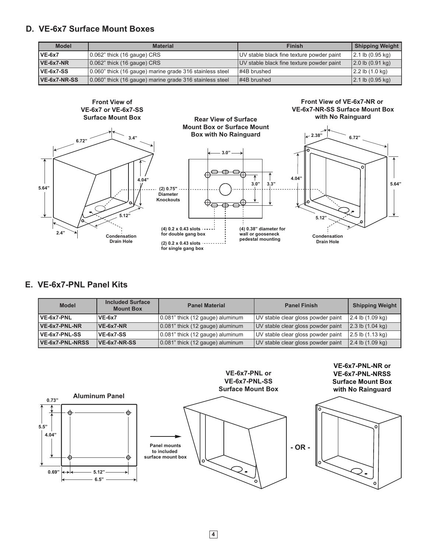#### **D. VE-6x7 Surface Mount Boxes**

| <b>Model</b> | <b>Material</b>                                          | <b>Finish</b>                             | <b>Shipping Weight</b>                |
|--------------|----------------------------------------------------------|-------------------------------------------|---------------------------------------|
| $VE-6x7$     | $(0.062"$ thick (16 gauge) CRS                           | UV stable black fine texture powder paint | 2.1 b(0.95 kq)                        |
| $VE-6x7-NR$  | $(0.062)$ " thick $(16$ gauge) CRS                       | UV stable black fine texture powder paint | $(2.0 \text{ lb } (0.91 \text{ kg}))$ |
| VE-6x7-SS    | 0.060" thick (16 gauge) marine grade 316 stainless steel | $\#4B$ brushed                            | 2.2 lb (1.0 kg)                       |
| VE-6x7-NR-SS | 0.060" thick (16 gauge) marine grade 316 stainless steel | $ $ #4B brushed                           | $ 2.1 \text{ lb } (0.95 \text{ kg}) $ |



### **E. VE-6x7-PNL Panel Kits**

| <b>Model</b>    | <b>Included Surface</b><br><b>Mount Box</b> | <b>Panel Material</b>                    | <b>Panel Finish</b>                | <b>Shipping Weight</b> |
|-----------------|---------------------------------------------|------------------------------------------|------------------------------------|------------------------|
| VE-6x7-PNL      | $VE-6x7$                                    | 0.081" thick (12 gauge) aluminum         | UV stable clear gloss powder paint | $2.4$ lb $(1.09$ kg)   |
| $VE-6x7-PNL-NR$ | $VE-6x7-NR$                                 | $ 0.081$ " thick (12 gauge) aluminum     | UV stable clear gloss powder paint | $2.3$ lb $(1.04$ kg)   |
| VE-6x7-PNL-SS   | <b>VE-6x7-SS</b>                            | 0.081" thick (12 gauge) aluminum         | UV stable clear gloss powder paint | 2.5 lb (1.13 kg)       |
| VE-6x7-PNL-NRSS | <b>VE-6x7-NR-SS</b>                         | $\vert$ 0.081" thick (12 gauge) aluminum | UV stable clear gloss powder paint | 2.4 lb (1.09 kg)       |

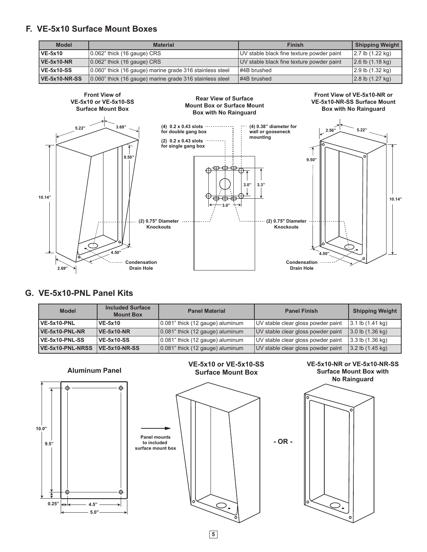#### **F. VE-5x10 Surface Mount Boxes**

| <b>Model</b>         | <b>Material</b>                                          | <b>Finish</b>                             | <b>Shipping Weight</b> |
|----------------------|----------------------------------------------------------|-------------------------------------------|------------------------|
| <b>VE-5x10</b>       | $\vert$ 0.062" thick (16 gauge) CRS                      | UV stable black fine texture powder paint | 2.7 lb (1.22 kg)       |
| <b>VE-5x10-NR</b>    | $ 0.062$ " thick (16 gauge) CRS                          | UV stable black fine texture powder paint | $ 2.6$ lb $(1.18$ kg)  |
| <b>VE-5x10-SS</b>    | 0.060" thick (16 gauge) marine grade 316 stainless steel | $\#4B$ brushed                            | 2.9 lb (1.32 kg)       |
| <b>VE-5x10-NR-SS</b> | 0.060" thick (16 gauge) marine grade 316 stainless steel | $ $ #4B brushed                           | $ 2.8$ lb $(1.27$ kg)  |



#### **G. VE-5x10-PNL Panel Kits**

| <b>Model</b>            | <b>Included Surface</b><br><b>Mount Box</b> | <b>Panel Material</b>                     | <b>Panel Finish</b>                | <b>Shipping Weight</b> |
|-------------------------|---------------------------------------------|-------------------------------------------|------------------------------------|------------------------|
| VE-5x10-PNL             | <b>VE-5x10</b>                              | 0.081" thick (12 gauge) aluminum          | UV stable clear gloss powder paint | 3.1 lb (1.41 kg)       |
| VE-5x10-PNL-NR          | $VE-5x10-NR$                                | $ 0.081$ " thick (12 gauge) aluminum      | UV stable clear gloss powder paint | 3.0 lb (1.36 kg)       |
| <b>VE-5x10-PNL-SS</b>   | <b>VE-5x10-SS</b>                           | 0.081" thick (12 gauge) aluminum          | UV stable clear gloss powder paint | 3.3 lb (1.36 kg)       |
| <b>VE-5x10-PNL-NRSS</b> | <b>VE-5x10-NR-SS</b>                        | $\vert 0.081$ " thick (12 gauge) aluminum | UV stable clear gloss powder paint | 3.2 lb (1.45 kg)       |



**5**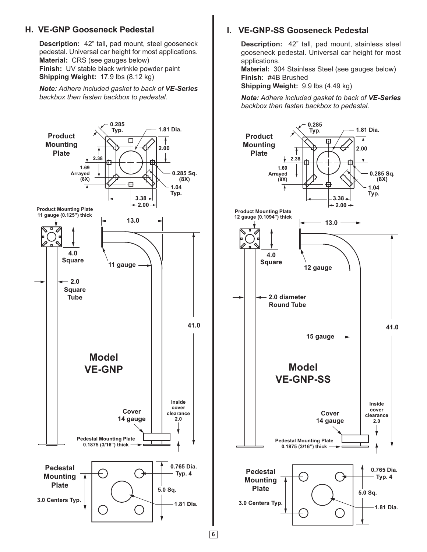#### **H. VE-GNP Gooseneck Pedestal**

**Description:** 42" tall, pad mount, steel gooseneck pedestal. Universal car height for most applications. **Material:** CRS (see gauges below) **Finish:** UV stable black wrinkle powder paint **Shipping Weight:** 17.9 lbs (8.12 kg)

*Note: Adhere included gasket to back of VE-Series backbox then fasten backbox to pedestal.*



#### **I. VE-GNP-SS Gooseneck Pedestal**

**Description:** 42" tall, pad mount, stainless steel gooseneck pedestal. Universal car height for most applications.

**Material:** 304 Stainless Steel (see gauges below) **Finish:** #4B Brushed

**Shipping Weight:** 9.9 lbs (4.49 kg)

*Note: Adhere included gasket to back of VE-Series backbox then fasten backbox to pedestal.*



**6**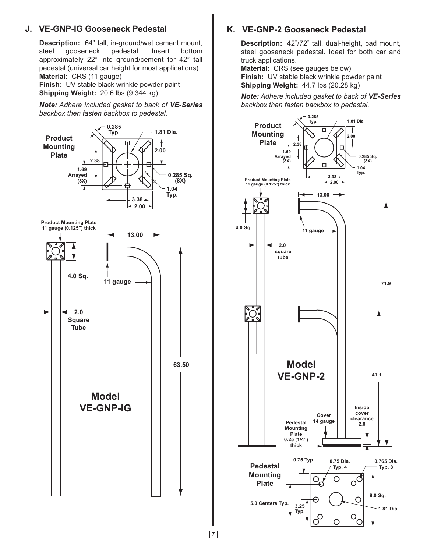#### **J. VE-GNP-IG Gooseneck Pedestal**

**Description:** 64" tall, in-ground/wet cement mount, steel gooseneck pedestal. Insert bottom approximately 22" into ground/cement for 42" tall pedestal (universal car height for most applications). **Material:** CRS (11 gauge)

**Finish:** UV stable black wrinkle powder paint **Shipping Weight:** 20.6 lbs (9.344 kg)

*Note: Adhere included gasket to back of VE-Series backbox then fasten backbox to pedestal.*



**7**

#### **K. VE-GNP-2 Gooseneck Pedestal**

**Description:** 42"/72" tall, dual-height, pad mount, steel gooseneck pedestal. Ideal for both car and truck applications.

**Material:** CRS (see gauges below) **Finish:** UV stable black wrinkle powder paint **Shipping Weight:** 44.7 lbs (20.28 kg)

*Note: Adhere included gasket to back of VE-Series backbox then fasten backbox to pedestal.*